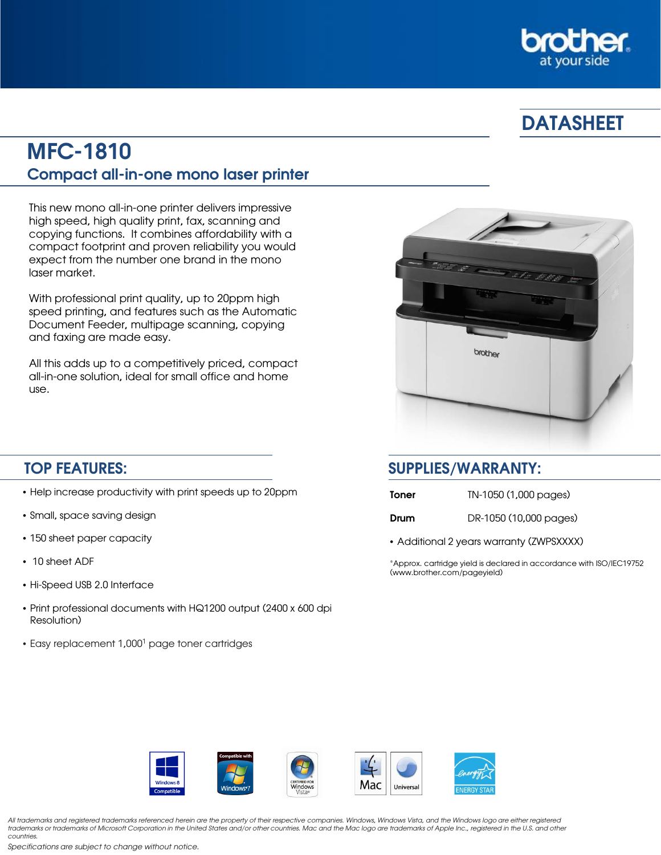

# **DATASHEET**

## MFC-1810 Compact all-in-one mono laser printer

This new mono all-in-one printer delivers impressive high speed, high quality print, fax, scanning and copying functions. It combines affordability with a compact footprint and proven reliability you would expect from the number one brand in the mono laser market.

With professional print quality, up to 20ppm high speed printing, and features such as the Automatic Document Feeder, multipage scanning, copying and faxing are made easy.

All this adds up to a competitively priced, compact all-in-one solution, ideal for small office and home use.



- Help increase productivity with print speeds up to 20ppm
- Small, space saving design
- 150 sheet paper capacity
- 10 sheet ADF
- Hi-Speed USB 2.0 Interface
- Print professional documents with HQ1200 output (2400 x 600 dpi Resolution)
- Easy replacement 1,0001 page toner cartridges

## TOP FEATURES: SUPPLIES/WARRANTY:

| Toner | TN-1050 (1,000 pages)  |
|-------|------------------------|
| Drum  | DR-1050 (10,000 pages) |

• Additional 2 years warranty (ZWPSXXXX)

\*Approx. cartridge yield is declared in accordance with ISO/IEC19752 (www.brother.com/pageyield)



All trademarks and registered trademarks referenced herein are the property of their respective companies. Windows, Windows Vista, and the Windows logo are either registered trademarks or trademarks of Microsoft Corporation in the United States and/or other countries. Mac and the Mac logo are trademarks of Apple Inc., registered in the U.S. and other countries.

Specifications are subject to change without notice.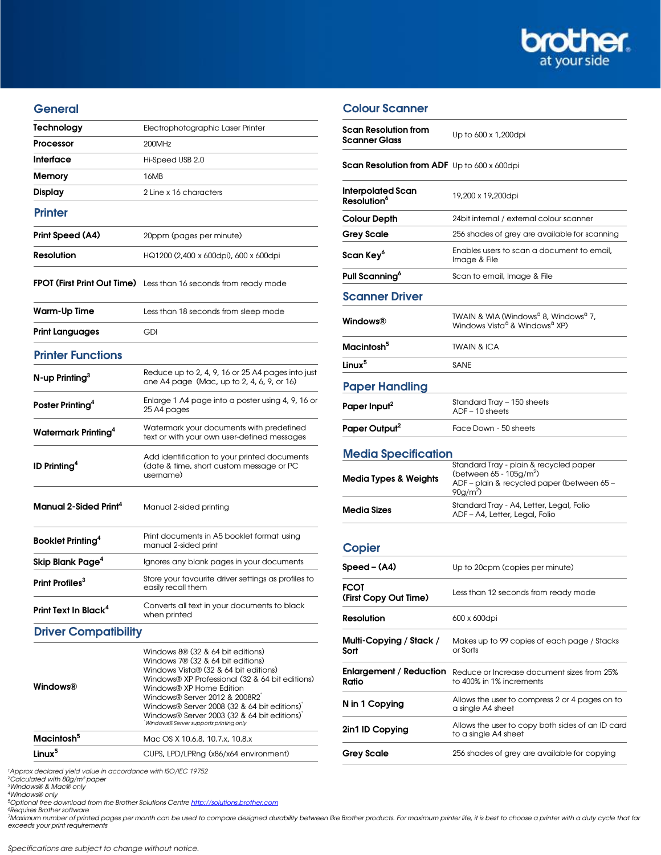

#### **General**

| Technology                        | Electrophotographic Laser Printer                                                                                                                                                                                                                                                                                                                                       |
|-----------------------------------|-------------------------------------------------------------------------------------------------------------------------------------------------------------------------------------------------------------------------------------------------------------------------------------------------------------------------------------------------------------------------|
| Processor                         | 200MHz                                                                                                                                                                                                                                                                                                                                                                  |
| Interface                         | Hi-Speed USB 2.0                                                                                                                                                                                                                                                                                                                                                        |
| Memory                            | 16MB                                                                                                                                                                                                                                                                                                                                                                    |
| <b>Display</b>                    | 2 Line x 16 characters                                                                                                                                                                                                                                                                                                                                                  |
| <b>Printer</b>                    |                                                                                                                                                                                                                                                                                                                                                                         |
| Print Speed (A4)                  | 20ppm (pages per minute)                                                                                                                                                                                                                                                                                                                                                |
| <b>Resolution</b>                 | HQ1200 (2,400 x 600dpi), 600 x 600dpi                                                                                                                                                                                                                                                                                                                                   |
|                                   | FPOT (First Print Out Time) Less than 16 seconds from ready mode                                                                                                                                                                                                                                                                                                        |
| Warm-Up Time                      | Less than 18 seconds from sleep mode                                                                                                                                                                                                                                                                                                                                    |
| <b>Print Languages</b>            | <b>GDI</b>                                                                                                                                                                                                                                                                                                                                                              |
| <b>Printer Functions</b>          |                                                                                                                                                                                                                                                                                                                                                                         |
| $N$ -up Printing <sup>3</sup>     | Reduce up to 2, 4, 9, 16 or 25 A4 pages into just<br>one A4 page (Mac, up to 2, 4, 6, 9, or 16)                                                                                                                                                                                                                                                                         |
| Poster Printing <sup>4</sup>      | Enlarge 1 A4 page into a poster using 4, 9, 16 or<br>25 A4 pages                                                                                                                                                                                                                                                                                                        |
| Watermark Printing <sup>4</sup>   | Watermark your documents with predefined<br>text or with your own user-defined messages                                                                                                                                                                                                                                                                                 |
| <b>ID Printing<sup>4</sup></b>    | Add identification to your printed documents<br>(date & time, short custom message or PC<br>username)                                                                                                                                                                                                                                                                   |
| Manual 2-Sided Print <sup>4</sup> | Manual 2-sided printing                                                                                                                                                                                                                                                                                                                                                 |
| Booklet Printing <sup>4</sup>     | Print documents in A5 booklet format using<br>manual 2-sided print                                                                                                                                                                                                                                                                                                      |
| Skip Blank Page <sup>4</sup>      | Ignores any blank pages in your documents                                                                                                                                                                                                                                                                                                                               |
| Print Profiles <sup>3</sup>       | Store your favourite driver settings as profiles to<br>easily recall them                                                                                                                                                                                                                                                                                               |
| Print Text In Black <sup>4</sup>  | Converts all text in your documents to black<br>when printed                                                                                                                                                                                                                                                                                                            |
| <b>Driver Compatibility</b>       |                                                                                                                                                                                                                                                                                                                                                                         |
| Windows®                          | Windows 8® (32 & 64 bit editions)<br>Windows 7® (32 & 64 bit editions)<br>Windows Vista® (32 & 64 bit editions)<br>Windows® XP Professional (32 & 64 bit editions)<br>Windows® XP Home Edition<br>Windows® Server 2012 & 2008R2<br>Windows® Server 2008 (32 & 64 bit editions)<br>Windows® Server 2003 (32 & 64 bit editions)<br>Windows® Server supports printing only |
| Macintosh <sup>5</sup>            | Mac OS X 10.6.8, 10.7.x, 10.8.x                                                                                                                                                                                                                                                                                                                                         |
| Linux <sup>5</sup>                | CUPS, LPD/LPRng (x86/x64 environment)                                                                                                                                                                                                                                                                                                                                   |

1Approx declared yield value in accordance with ISO/IEC 19752 2Calculated with 80g/m² paper 3Windows® & Mac® only

4Windows® only

<sup>5</sup>Optional free download from the Brother Solutions Centre <u>[http://solutions.brother.com](http://solutions.brother.com/)</u><br>^Requires Brother software<br>7Maximum number of printed pages per month can be used to compare designed durability between like Broth exceeds your print requirements

#### Colour Scanner

| Scan Resolution from<br>Scanner Glass              | Up to 600 x 1,200dpi                                                                                                                         |  |
|----------------------------------------------------|----------------------------------------------------------------------------------------------------------------------------------------------|--|
| <b>Scan Resolution from ADF</b> Up to 600 x 600dpi |                                                                                                                                              |  |
| Interpolated Scan<br><b>Resolution<sup>6</sup></b> | 19,200 x 19,200dpi                                                                                                                           |  |
| Colour Depth                                       | 24bit internal / external colour scanner                                                                                                     |  |
| <b>Grey Scale</b>                                  | 256 shades of grey are available for scanning                                                                                                |  |
| Scan Key <sup>6</sup>                              | Enables users to scan a document to email,<br>Image & File                                                                                   |  |
| Pull Scanning <sup>o</sup>                         | Scan to email, Image & File                                                                                                                  |  |
| <b>Scanner Driver</b>                              |                                                                                                                                              |  |
| Windows®                                           | TWAIN & WIA (Windows <sup>a</sup> 8, Windows <sup>a</sup> 7,<br>Windows Vista <sup>a</sup> & Windows <sup>a</sup> XP)                        |  |
| Macintosh <sup>5</sup>                             | TWAIN & ICA                                                                                                                                  |  |
| Linux <sup>5</sup>                                 | SANE                                                                                                                                         |  |
| <b>Paper Handling</b>                              |                                                                                                                                              |  |
| Paper Input <sup>2</sup>                           | Standard Tray - 150 sheets<br>$ADF - 10$ sheets                                                                                              |  |
| Paper Output <sup>2</sup>                          | Face Down - 50 sheets                                                                                                                        |  |
| <b>Media Specification</b>                         |                                                                                                                                              |  |
|                                                    |                                                                                                                                              |  |
| Media Types & Weights                              | Standard Tray - plain & recycled paper<br>(between $65 - 105$ g/m <sup>2</sup> )<br>ADF - plain & recycled paper (between 65 -<br>$90g/m2$ ) |  |
| <b>Media Sizes</b>                                 | Standard Tray - A4, Letter, Legal, Folio<br>ADF-A4, Letter, Legal, Folio                                                                     |  |
| <b>Copier</b>                                      |                                                                                                                                              |  |
| Speed - (A4)                                       | Up to 20cpm (copies per minute)                                                                                                              |  |
| FCOT<br>(First Copy Out Time)                      | Less than 12 seconds from ready mode                                                                                                         |  |
| <b>Resolution</b>                                  | 600 x 600dpi                                                                                                                                 |  |
| Multi-Copying / Stack /<br>Sort                    | Makes up to 99 copies of each page / Stacks<br>or Sorts                                                                                      |  |
| Enlargement / Reduction<br>Ratio                   | Reduce or Increase document sizes from 25%<br>to 400% in 1% increments                                                                       |  |
| N in 1 Copying                                     | Allows the user to compress 2 or 4 pages on to<br>a single A4 sheet                                                                          |  |
| 2in1 ID Copying                                    | Allows the user to copy both sides of an ID card<br>to a single A4 sheet                                                                     |  |